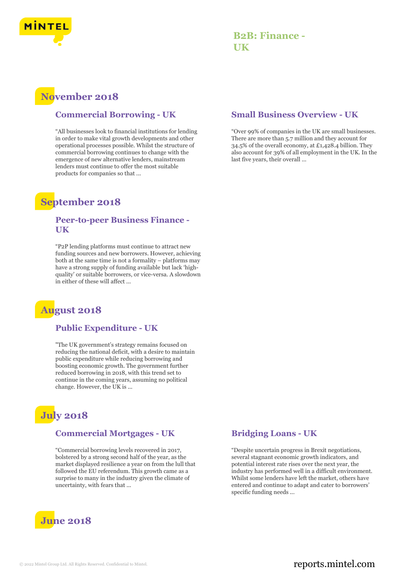

## **B2B: Finance - UK**

# **November 2018**

#### **Commercial Borrowing - UK**

"All businesses look to financial institutions for lending in order to make vital growth developments and other operational processes possible. Whilst the structure of commercial borrowing continues to change with the emergence of new alternative lenders, mainstream lenders must continue to offer the most suitable products for companies so that ...

## **September 2018**

#### **Peer-to-peer Business Finance - UK**

"P2P lending platforms must continue to attract new funding sources and new borrowers. However, achieving both at the same time is not a formality – platforms may have a strong supply of funding available but lack 'highquality' or suitable borrowers, or vice-versa. A slowdown in either of these will affect ...

# **August 2018**

#### **Public Expenditure - UK**

"The UK government's strategy remains focused on reducing the national deficit, with a desire to maintain public expenditure while reducing borrowing and boosting economic growth. The government further reduced borrowing in 2018, with this trend set to continue in the coming years, assuming no political change. However, the UK is ...

# **July 2018**

#### **Commercial Mortgages - UK**

"Commercial borrowing levels recovered in 2017, bolstered by a strong second half of the year, as the market displayed resilience a year on from the lull that followed the EU referendum. This growth came as a surprise to many in the industry given the climate of uncertainty, with fears that ...



#### **Small Business Overview - UK**

"Over 99% of companies in the UK are small businesses. There are more than 5.7 million and they account for 34.5% of the overall economy, at £1,428.4 billion. They also account for 39% of all employment in the UK. In the last five years, their overall ...

#### **Bridging Loans - UK**

"Despite uncertain progress in Brexit negotiations, several stagnant economic growth indicators, and potential interest rate rises over the next year, the industry has performed well in a difficult environment. Whilst some lenders have left the market, others have entered and continue to adapt and cater to borrowers' specific funding needs ...

## © 2022 Mintel Group Ltd. All Rights Reserved. Confidential to Mintel.  $\blacksquare$  reports.mintel.com